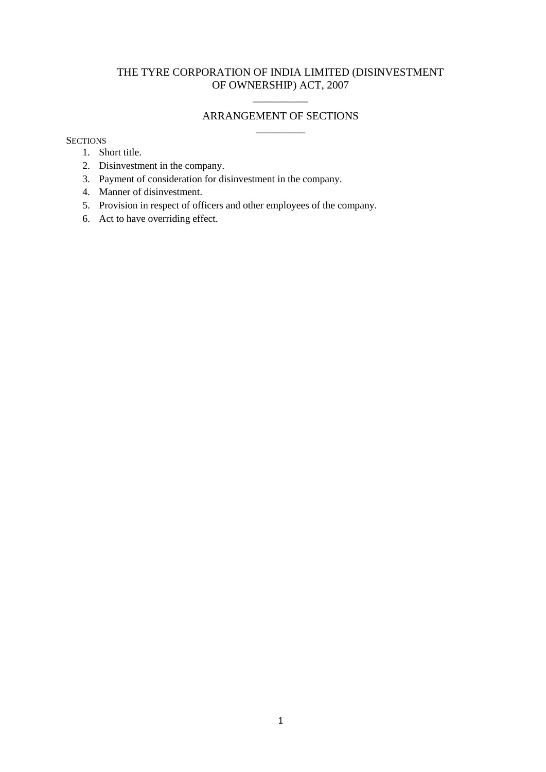## THE TYRE CORPORATION OF INDIA LIMITED (DISINVESTMENT OF OWNERSHIP) ACT, 2007

# $\overline{\phantom{a}}$ ARRANGEMENT OF SECTIONS \_\_\_\_\_\_\_\_\_

#### **SECTIONS**

- 1. Short title.
- 2. Disinvestment in the company.
- 3. Payment of consideration for disinvestment in the company.
- 4. Manner of disinvestment.
- 5. Provision in respect of officers and other employees of the company.
- 6. Act to have overriding effect.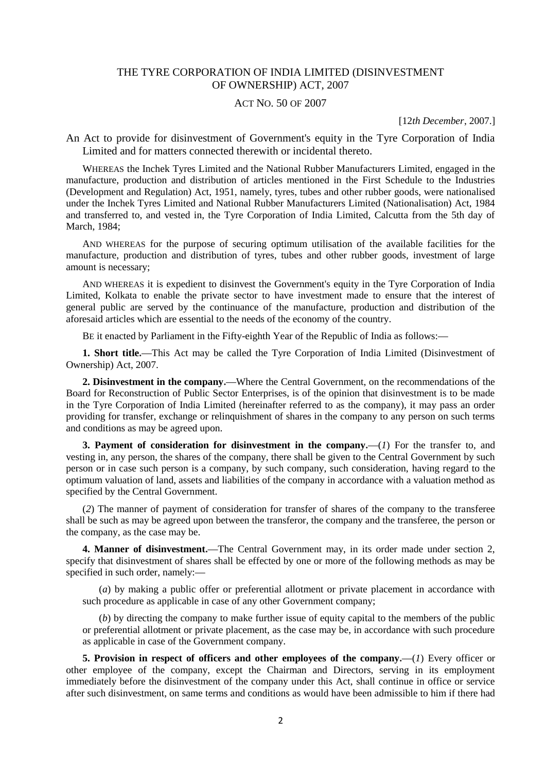### THE TYRE CORPORATION OF INDIA LIMITED (DISINVESTMENT OF OWNERSHIP) ACT, 2007

#### ACT NO. 50 OF 2007

[12*th December*, 2007.]

An Act to provide for disinvestment of Government's equity in the Tyre Corporation of India Limited and for matters connected therewith or incidental thereto.

WHEREAS the Inchek Tyres Limited and the National Rubber Manufacturers Limited, engaged in the manufacture, production and distribution of articles mentioned in the First Schedule to the Industries (Development and Regulation) Act, 1951, namely, tyres, tubes and other rubber goods, were nationalised under the Inchek Tyres Limited and National Rubber Manufacturers Limited (Nationalisation) Act, 1984 and transferred to, and vested in, the Tyre Corporation of India Limited, Calcutta from the 5th day of March, 1984;

AND WHEREAS for the purpose of securing optimum utilisation of the available facilities for the manufacture, production and distribution of tyres, tubes and other rubber goods, investment of large amount is necessary;

AND WHEREAS it is expedient to disinvest the Government's equity in the Tyre Corporation of India Limited, Kolkata to enable the private sector to have investment made to ensure that the interest of general public are served by the continuance of the manufacture, production and distribution of the aforesaid articles which are essential to the needs of the economy of the country.

BE it enacted by Parliament in the Fifty-eighth Year of the Republic of India as follows:**—**

**1. Short title.—**This Act may be called the Tyre Corporation of India Limited (Disinvestment of Ownership) Act, 2007.

**2. Disinvestment in the company.—**Where the Central Government, on the recommendations of the Board for Reconstruction of Public Sector Enterprises, is of the opinion that disinvestment is to be made in the Tyre Corporation of India Limited (hereinafter referred to as the company), it may pass an order providing for transfer, exchange or relinquishment of shares in the company to any person on such terms and conditions as may be agreed upon.

**3. Payment of consideration for disinvestment in the company.—**(*1*) For the transfer to, and vesting in, any person, the shares of the company, there shall be given to the Central Government by such person or in case such person is a company, by such company, such consideration, having regard to the optimum valuation of land, assets and liabilities of the company in accordance with a valuation method as specified by the Central Government.

(*2*) The manner of payment of consideration for transfer of shares of the company to the transferee shall be such as may be agreed upon between the transferor, the company and the transferee, the person or the company, as the case may be.

**4. Manner of disinvestment.—**The Central Government may, in its order made under section 2, specify that disinvestment of shares shall be effected by one or more of the following methods as may be specified in such order, namely:**—**

(*a*) by making a public offer or preferential allotment or private placement in accordance with such procedure as applicable in case of any other Government company;

(*b*) by directing the company to make further issue of equity capital to the members of the public or preferential allotment or private placement, as the case may be, in accordance with such procedure as applicable in case of the Government company.

**5. Provision in respect of officers and other employees of the company.—**(*1*) Every officer or other employee of the company, except the Chairman and Directors, serving in its employment immediately before the disinvestment of the company under this Act, shall continue in office or service after such disinvestment, on same terms and conditions as would have been admissible to him if there had